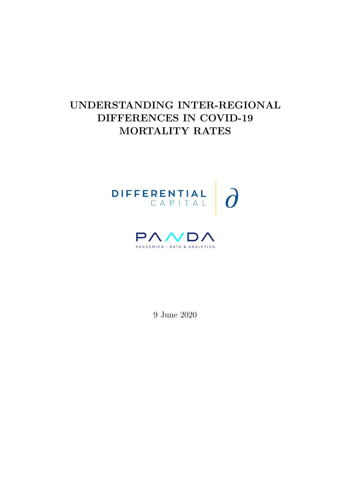# UNDERSTANDING INTER-REGIONAL DIFFERENCES IN COVID-19 MORTALITY RATES





9 June 2020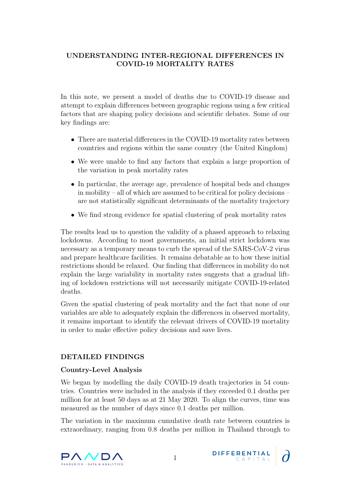# UNDERSTANDING INTER-REGIONAL DIFFERENCES IN COVID-19 MORTALITY RATES

In this note, we present a model of deaths due to COVID-19 disease and attempt to explain differences between geographic regions using a few critical factors that are shaping policy decisions and scientific debates. Some of our key findings are:

- There are material differences in the COVID-19 mortality rates between countries and regions within the same country (the United Kingdom)
- We were unable to find any factors that explain a large proportion of the variation in peak mortality rates
- In particular, the average age, prevalence of hospital beds and changes in mobility – all of which are assumed to be critical for policy decisions – are not statistically significant determinants of the mortality trajectory
- We find strong evidence for spatial clustering of peak mortality rates

The results lead us to question the validity of a phased approach to relaxing lockdowns. According to most governments, an initial strict lockdown was necessary as a temporary means to curb the spread of the SARS-CoV-2 virus and prepare healthcare facilities. It remains debatable as to how these initial restrictions should be relaxed. Our finding that differences in mobility do not explain the large variability in mortality rates suggests that a gradual lifting of lockdown restrictions will not necessarily mitigate COVID-19-related deaths.

Given the spatial clustering of peak mortality and the fact that none of our variables are able to adequately explain the differences in observed mortality, it remains important to identify the relevant drivers of COVID-19 mortality in order to make effective policy decisions and save lives.

# DETAILED FINDINGS

# Country-Level Analysis

We began by modelling the daily COVID-19 death trajectories in 54 countries. Countries were included in the analysis if they exceeded 0.1 deaths per million for at least 50 days as at 21 May 2020. To align the curves, time was measured as the number of days since 0.1 deaths per million.

The variation in the maximum cumulative death rate between countries is extraordinary, ranging from 0.8 deaths per million in Thailand through to



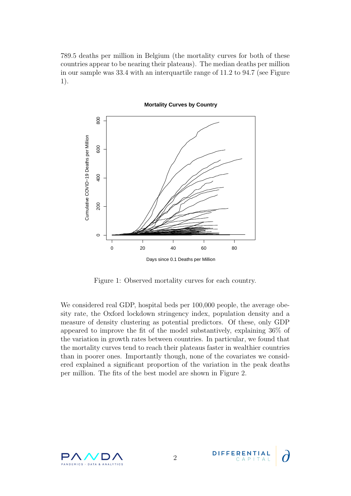789.5 deaths per million in Belgium (the mortality curves for both of these countries appear to be nearing their plateaus). The median deaths per million in our sample was 33.4 with an interquartile range of 11.2 to 94.7 (see Figure 1).



Figure 1: Observed mortality curves for each country.

We considered real GDP, hospital beds per 100,000 people, the average obesity rate, the Oxford lockdown stringency index, population density and a measure of density clustering as potential predictors. Of these, only GDP appeared to improve the fit of the model substantively, explaining 36% of the variation in growth rates between countries. In particular, we found that the mortality curves tend to reach their plateaus faster in wealthier countries than in poorer ones. Importantly though, none of the covariates we considered explained a significant proportion of the variation in the peak deaths per million. The fits of the best model are shown in Figure 2.



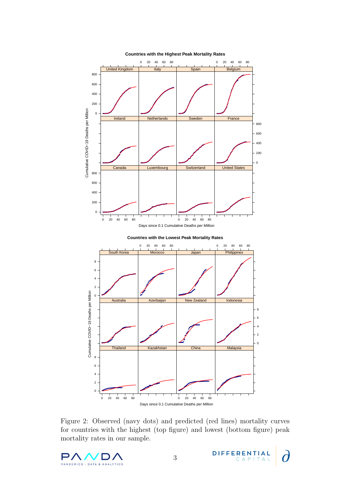

Figure 2: Observed (navy dots) and predicted (red lines) mortality curves for countries with the highest (top figure) and lowest (bottom figure) peak mortality rates in our sample.



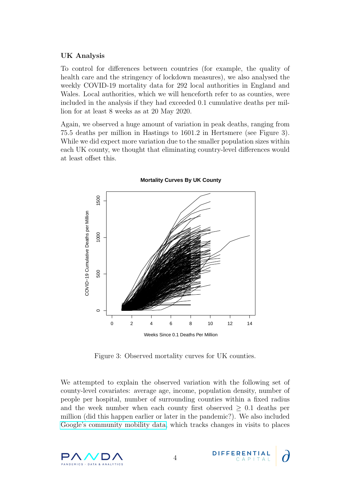### UK Analysis

To control for differences between countries (for example, the quality of health care and the stringency of lockdown measures), we also analysed the weekly COVID-19 mortality data for 292 local authorities in England and Wales. Local authorities, which we will henceforth refer to as counties, were included in the analysis if they had exceeded 0.1 cumulative deaths per million for at least 8 weeks as at 20 May 2020.

Again, we observed a huge amount of variation in peak deaths, ranging from 75.5 deaths per million in Hastings to 1601.2 in Hertsmere (see Figure 3). While we did expect more variation due to the smaller population sizes within each UK county, we thought that eliminating country-level differences would at least offset this.



**Mortality Curves By UK County**

Figure 3: Observed mortality curves for UK counties.

We attempted to explain the observed variation with the following set of county-level covariates: average age, income, population density, number of people per hospital, number of surrounding counties within a fixed radius and the week number when each county first observed  $\geq 0.1$  deaths per million (did this happen earlier or later in the pandemic?). We also included [Google's community mobility data,](https://www.google.com/covid19/mobility/) which tracks changes in visits to places



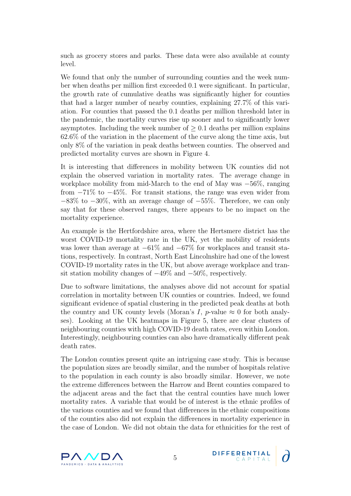such as grocery stores and parks. These data were also available at county level.

We found that only the number of surrounding counties and the week number when deaths per million first exceeded 0.1 were significant. In particular, the growth rate of cumulative deaths was significantly higher for counties that had a larger number of nearby counties, explaining 27.7% of this variation. For counties that passed the 0.1 deaths per million threshold later in the pandemic, the mortality curves rise up sooner and to significantly lower asymptotes. Including the week number of  $\geq 0.1$  deaths per million explains 62.6% of the variation in the placement of the curve along the time axis, but only 8% of the variation in peak deaths between counties. The observed and predicted mortality curves are shown in Figure 4.

It is interesting that differences in mobility between UK counties did not explain the observed variation in mortality rates. The average change in workplace mobility from mid-March to the end of May was −56%, ranging from −71% to −45%. For transit stations, the range was even wider from  $-83\%$  to  $-30\%$ , with an average change of  $-55\%$ . Therefore, we can only say that for these observed ranges, there appears to be no impact on the mortality experience.

An example is the Hertfordshire area, where the Hertsmere district has the worst COVID-19 mortality rate in the UK, yet the mobility of residents was lower than average at  $-61\%$  and  $-67\%$  for workplaces and transit stations, respectively. In contrast, North East Lincolnshire had one of the lowest COVID-19 mortality rates in the UK, but above average workplace and transit station mobility changes of  $-49\%$  and  $-50\%$ , respectively.

Due to software limitations, the analyses above did not account for spatial correlation in mortality between UK counties or countries. Indeed, we found significant evidence of spatial clustering in the predicted peak deaths at both the country and UK county levels (Moran's I, p-value  $\approx 0$  for both analyses). Looking at the UK heatmaps in Figure 5, there are clear clusters of neighbouring counties with high COVID-19 death rates, even within London. Interestingly, neighbouring counties can also have dramatically different peak death rates.

The London counties present quite an intriguing case study. This is because the population sizes are broadly similar, and the number of hospitals relative to the population in each county is also broadly similar. However, we note the extreme differences between the Harrow and Brent counties compared to the adjacent areas and the fact that the central counties have much lower mortality rates. A variable that would be of interest is the ethnic profiles of the various counties and we found that differences in the ethnic compositions of the counties also did not explain the differences in mortality experience in the case of London. We did not obtain the data for ethnicities for the rest of

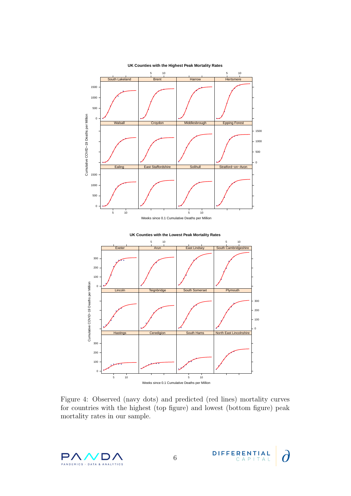

Figure 4: Observed (navy dots) and predicted (red lines) mortality curves for countries with the highest (top figure) and lowest (bottom figure) peak mortality rates in our sample.

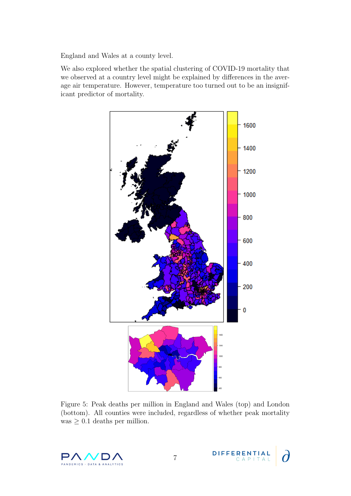England and Wales at a county level.

We also explored whether the spatial clustering of COVID-19 mortality that we observed at a country level might be explained by differences in the average air temperature. However, temperature too turned out to be an insignificant predictor of mortality.



Figure 5: Peak deaths per million in England and Wales (top) and London (bottom). All counties were included, regardless of whether peak mortality was  $\geq 0.1$  deaths per million.

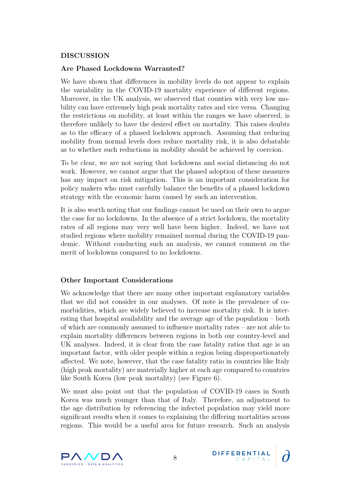# DISCUSSION

### Are Phased Lockdowns Warranted?

We have shown that differences in mobility levels do not appear to explain the variability in the COVID-19 mortality experience of different regions. Moreover, in the UK analysis, we observed that counties with very low mobility can have extremely high peak mortality rates and vice versa. Changing the restrictions on mobility, at least within the ranges we have observed, is therefore unlikely to have the desired effect on mortality. This raises doubts as to the efficacy of a phased lockdown approach. Assuming that reducing mobility from normal levels does reduce mortality risk, it is also debatable as to whether such reductions in mobility should be achieved by coercion.

To be clear, we are not saying that lockdowns and social distancing do not work. However, we cannot argue that the phased adoption of these measures has any impact on risk mitigation. This is an important consideration for policy makers who must carefully balance the benefits of a phased lockdown strategy with the economic harm caused by such an intervention.

It is also worth noting that our findings cannot be used on their own to argue the case for no lockdowns. In the absence of a strict lockdown, the mortality rates of all regions may very well have been higher. Indeed, we have not studied regions where mobility remained normal during the COVID-19 pandemic. Without conducting such an analysis, we cannot comment on the merit of lockdowns compared to no lockdowns.

# Other Important Considerations

We acknowledge that there are many other important explanatory variables that we did not consider in our analyses. Of note is the prevalence of comorbidities, which are widely believed to increase mortality risk. It is interesting that hospital availability and the average age of the population – both of which are commonly assumed to influence mortality rates – are not able to explain mortality differences between regions in both our country-level and UK analyses. Indeed, it is clear from the case fatality ratios that age is an important factor, with older people within a region being disproportionately affected. We note, however, that the case fatality ratio in countries like Italy (high peak mortality) are materially higher at each age compared to countries like South Korea (low peak mortality) (see Figure 6).

We must also point out that the population of COVID-19 cases in South Korea was much younger than that of Italy. Therefore, an adjustment to the age distribution by referencing the infected population may yield more significant results when it comes to explaining the differing mortalities across regions. This would be a useful area for future research. Such an analysis



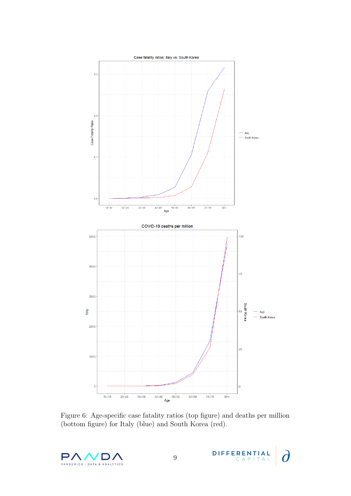

Figure 6: Age-specific case fatality ratios (top figure) and deaths per million (bottom figure) for Italy (blue) and South Korea (red).



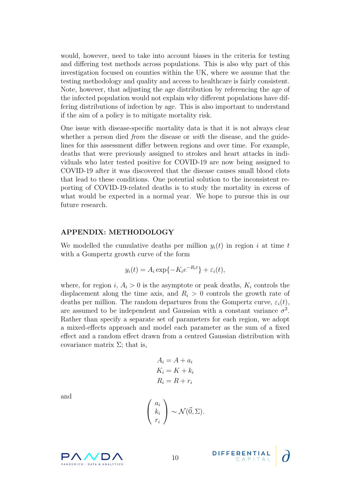would, however, need to take into account biases in the criteria for testing and differing test methods across populations. This is also why part of this investigation focused on counties within the UK, where we assume that the testing methodology and quality and access to healthcare is fairly consistent. Note, however, that adjusting the age distribution by referencing the age of the infected population would not explain why different populations have differing distributions of infection by age. This is also important to understand if the aim of a policy is to mitigate mortality risk.

One issue with disease-specific mortality data is that it is not always clear whether a person died *from* the disease or *with* the disease, and the guidelines for this assessment differ between regions and over time. For example, deaths that were previously assigned to strokes and heart attacks in individuals who later tested positive for COVID-19 are now being assigned to COVID-19 after it was discovered that the disease causes small blood clots that lead to these conditions. One potential solution to the inconsistent reporting of COVID-19-related deaths is to study the mortality in excess of what would be expected in a normal year. We hope to pursue this in our future research.

#### APPENDIX: METHODOLOGY

We modelled the cumulative deaths per million  $y_i(t)$  in region i at time t with a Gompertz growth curve of the form

$$
y_i(t) = A_i \exp\{-K_i e^{-R_i t}\} + \varepsilon_i(t),
$$

where, for region i,  $A_i > 0$  is the asymptote or peak deaths,  $K_i$  controls the displacement along the time axis, and  $R<sub>i</sub> > 0$  controls the growth rate of deaths per million. The random departures from the Gompertz curve,  $\varepsilon_i(t)$ , are assumed to be independent and Gaussian with a constant variance  $\sigma^2$ . Rather than specify a separate set of parameters for each region, we adopt a mixed-effects approach and model each parameter as the sum of a fixed effect and a random effect drawn from a centred Gaussian distribution with covariance matrix  $\Sigma$ ; that is,

$$
A_i = A + a_i
$$
  
\n
$$
K_i = K + k_i
$$
  
\n
$$
R_i = R + r_i
$$

and

$$
\begin{pmatrix} a_i \\ k_i \\ r_i \end{pmatrix} \sim \mathcal{N}(\vec{0}, \Sigma).
$$



**DIFFERENTIAL**